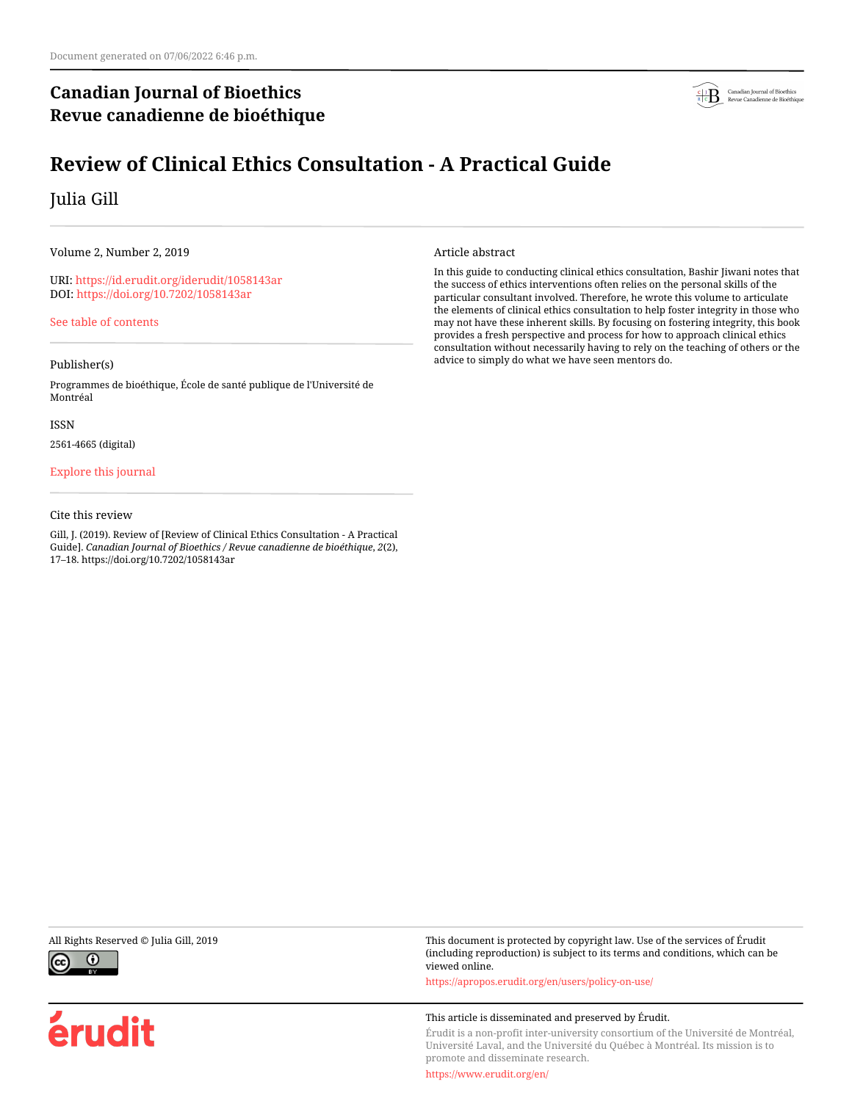## **Canadian Journal of Bioethics Revue canadienne de bioéthique**



# **Review of Clinical Ethics Consultation - A Practical Guide**

## Julia Gill

Volume 2, Number 2, 2019

URI:<https://id.erudit.org/iderudit/1058143ar> DOI:<https://doi.org/10.7202/1058143ar>

[See table of contents](https://www.erudit.org/en/journals/bioethics/2019-v2-n2-bioethics04449/)

### Publisher(s)

Programmes de bioéthique, École de santé publique de l'Université de Montréal

ISSN

2561-4665 (digital)

### [Explore this journal](https://www.erudit.org/en/journals/bioethics/)

#### Cite this review

Gill, J. (2019). Review of [Review of Clinical Ethics Consultation - A Practical Guide]. *Canadian Journal of Bioethics / Revue canadienne de bioéthique*, *2*(2), 17–18. https://doi.org/10.7202/1058143ar

#### Article abstract

In this guide to conducting clinical ethics consultation, Bashir Jiwani notes that the success of ethics interventions often relies on the personal skills of the particular consultant involved. Therefore, he wrote this volume to articulate the elements of clinical ethics consultation to help foster integrity in those who may not have these inherent skills. By focusing on fostering integrity, this book provides a fresh perspective and process for how to approach clinical ethics consultation without necessarily having to rely on the teaching of others or the advice to simply do what we have seen mentors do.



érudit

All Rights Reserved © Julia Gill, 2019 This document is protected by copyright law. Use of the services of Érudit (including reproduction) is subject to its terms and conditions, which can be viewed online.

<https://apropos.erudit.org/en/users/policy-on-use/>

#### This article is disseminated and preserved by Érudit.

Érudit is a non-profit inter-university consortium of the Université de Montréal, Université Laval, and the Université du Québec à Montréal. Its mission is to promote and disseminate research.

<https://www.erudit.org/en/>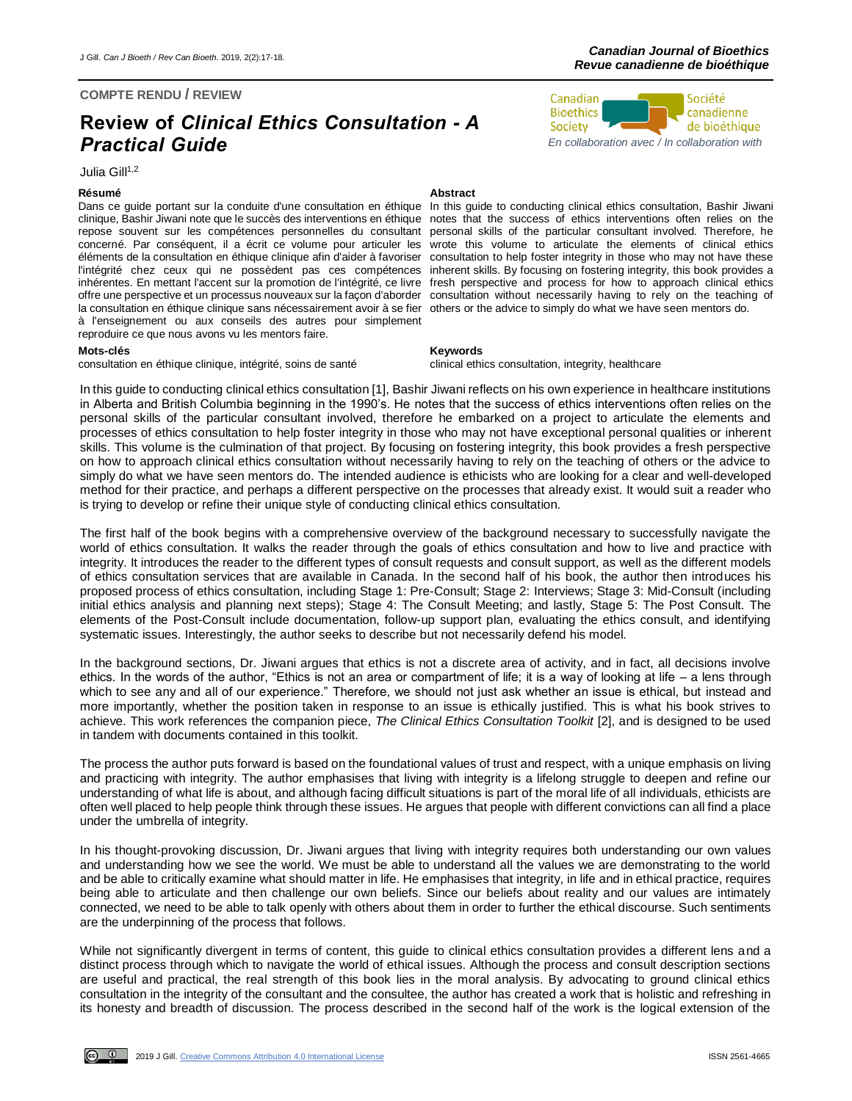### **COMPTE RENDU / REVIEW**

# **Review of** *Clinical Ethics Consultation - A Practical Guide*

Julia Gill<sup>1,2</sup>

Dans ce guide portant sur la conduite d'une consultation en éthique clinique, Bashir Jiwani note que le succès des interventions en éthique notes that the success of ethics interventions often relies on the repose souvent sur les compétences personnelles du consultant personal skills of the particular consultant involved. Therefore, he concerné. Par conséquent, il a écrit ce volume pour articuler les éléments de la consultation en éthique clinique afin d'aider à favoriser l'intégrité chez ceux qui ne possèdent pas ces compétences inhérentes. En mettant l'accent sur la promotion de l'intégrité, ce livre offre une perspective et un processus nouveaux sur la façon d'aborder la consultation en éthique clinique sans nécessairement avoir à se fier à l'enseignement ou aux conseils des autres pour simplement reproduire ce que nous avons vu les mentors faire.

#### **Mots-clés Keywords**

consultation en éthique clinique, intégrité, soins de santé clinical ethics consultation, integrity, healthcare

#### **Résumé Abstract**

In this guide to conducting clinical ethics consultation, Bashir Jiwani wrote this volume to articulate the elements of clinical ethics consultation to help foster integrity in those who may not have these inherent skills. By focusing on fostering integrity, this book provides a fresh perspective and process for how to approach clinical ethics consultation without necessarily having to rely on the teaching of others or the advice to simply do what we have seen mentors do.

In this guide to conducting clinical ethics consultation [1], Bashir Jiwani reflects on his own experience in healthcare institutions in Alberta and British Columbia beginning in the 1990's. He notes that the success of ethics interventions often relies on the personal skills of the particular consultant involved, therefore he embarked on a project to articulate the elements and processes of ethics consultation to help foster integrity in those who may not have exceptional personal qualities or inherent skills. This volume is the culmination of that project. By focusing on fostering integrity, this book provides a fresh perspective on how to approach clinical ethics consultation without necessarily having to rely on the teaching of others or the advice to simply do what we have seen mentors do. The intended audience is ethicists who are looking for a clear and well-developed method for their practice, and perhaps a different perspective on the processes that already exist. It would suit a reader who is trying to develop or refine their unique style of conducting clinical ethics consultation.

The first half of the book begins with a comprehensive overview of the background necessary to successfully navigate the world of ethics consultation. It walks the reader through the goals of ethics consultation and how to live and practice with integrity. It introduces the reader to the different types of consult requests and consult support, as well as the different models of ethics consultation services that are available in Canada. In the second half of his book, the author then introduces his proposed process of ethics consultation, including Stage 1: Pre-Consult; Stage 2: Interviews; Stage 3: Mid-Consult (including initial ethics analysis and planning next steps); Stage 4: The Consult Meeting; and lastly, Stage 5: The Post Consult. The elements of the Post-Consult include documentation, follow-up support plan, evaluating the ethics consult, and identifying systematic issues. Interestingly, the author seeks to describe but not necessarily defend his model.

In the background sections, Dr. Jiwani argues that ethics is not a discrete area of activity, and in fact, all decisions involve ethics. In the words of the author, "Ethics is not an area or compartment of life; it is a way of looking at life – a lens through which to see any and all of our experience." Therefore, we should not just ask whether an issue is ethical, but instead and more importantly, whether the position taken in response to an issue is ethically justified. This is what his book strives to achieve. This work references the companion piece, *The Clinical Ethics Consultation Toolkit* [2], and is designed to be used in tandem with documents contained in this toolkit.

The process the author puts forward is based on the foundational values of trust and respect, with a unique emphasis on living and practicing with integrity. The author emphasises that living with integrity is a lifelong struggle to deepen and refine our understanding of what life is about, and although facing difficult situations is part of the moral life of all individuals, ethicists are often well placed to help people think through these issues. He argues that people with different convictions can all find a place under the umbrella of integrity.

In his thought-provoking discussion, Dr. Jiwani argues that living with integrity requires both understanding our own values and understanding how we see the world. We must be able to understand all the values we are demonstrating to the world and be able to critically examine what should matter in life. He emphasises that integrity, in life and in ethical practice, requires being able to articulate and then challenge our own beliefs. Since our beliefs about reality and our values are intimately connected, we need to be able to talk openly with others about them in order to further the ethical discourse. Such sentiments are the underpinning of the process that follows.

While not significantly divergent in terms of content, this guide to clinical ethics consultation provides a different lens and a distinct process through which to navigate the world of ethical issues. Although the process and consult description sections are useful and practical, the real strength of this book lies in the moral analysis. By advocating to ground clinical ethics consultation in the integrity of the consultant and the consultee, the author has created a work that is holistic and refreshing in its honesty and breadth of discussion. The process described in the second half of the work is the logical extension of the